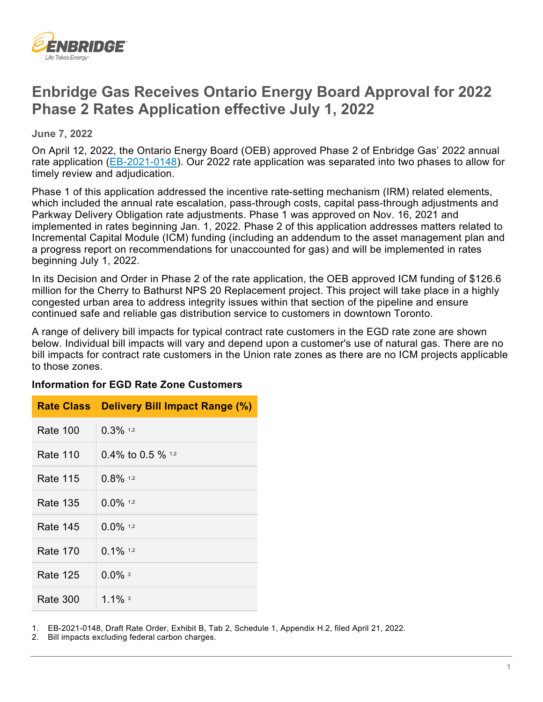

# **Enbridge Gas Receives Ontario Energy Board Approval for 2022 Phase 2 Rates Application effective July 1, 2022**

 **June 7, 2022** 

On April 12, 2022, the Ontario Energy Board (OEB) approved Phase 2 of Enbridge Gas' 2022 annual rate application [\(EB-2021-0148\)](https://www.enbridgegas.com/about-enbridge-gas/regulatory). Our 2022 rate application was separated into two phases to allow for timely review and adjudication.

 implemented in rates beginning Jan. 1, 2022. Phase 2 of this application addresses matters related to Phase 1 of this application addressed the incentive rate-setting mechanism (IRM) related elements, which included the annual rate escalation, pass-through costs, capital pass-through adjustments and Parkway Delivery Obligation rate adjustments. Phase 1 was approved on Nov. 16, 2021 and Incremental Capital Module (ICM) funding (including an addendum to the asset management plan and a progress report on recommendations for unaccounted for gas) and will be implemented in rates beginning July 1, 2022.

In its Decision and Order in Phase 2 of the rate application, the OEB approved ICM funding of \$126.6 million for the Cherry to Bathurst NPS 20 Replacement project. This project will take place in a highly congested urban area to address integrity issues within that section of the pipeline and ensure continued safe and reliable gas distribution service to customers in downtown Toronto.

 below. Individual bill impacts will vary and depend upon a customer's use of natural gas. There are no A range of delivery bill impacts for typical contract rate customers in the EGD rate zone are shown bill impacts for contract rate customers in the Union rate zones as there are no ICM projects applicable to those zones.

#### **Information for EGD Rate Zone Customers**

| <b>Rate Class</b> | <b>Delivery Bill Impact Range (%)</b> |
|-------------------|---------------------------------------|
| Rate 100          | $0.3\%$ 1.2                           |
| Rate 110          | 0.4% to 0.5 % $1.2$                   |
| Rate 115          | $0.8\%$ 1.2                           |
| Rate 135          | $0.0\%$ 1.2                           |
| Rate 145          | $0.0\%$ 1.2                           |
| <b>Rate 170</b>   | $0.1\%$ 1.2                           |
| Rate 125          | $0.0\%$ <sup>3</sup>                  |
| Rate 300          | 1.1% $3$                              |

1. EB-2021-0148, Draft Rate Order, Exhibit B, Tab 2, Schedule 1, Appendix H.2, filed April 21, 2022.

2. Bill impacts excluding federal carbon charges.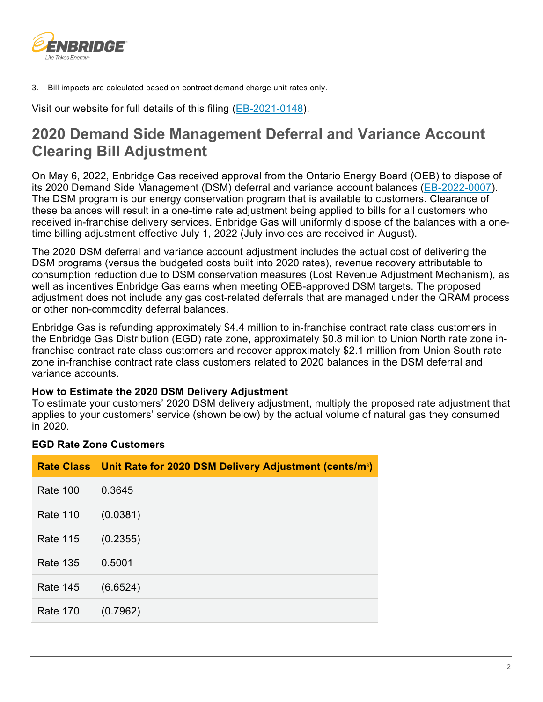

3. Bill impacts are calculated based on contract demand charge unit rates only.

Visit our website for full details of this filing (<u>EB-2021-0148</u>).

# **2020 Demand Side Management Deferral and Variance Account Clearing Bill Adjustment**

 received in-franchise delivery services. Enbridge Gas will uniformly dispose of the balances with a one-On May 6, 2022, Enbridge Gas received approval from the Ontario Energy Board (OEB) to dispose of its 2020 Demand Side Management (DSM) deferral and variance account balances [\(EB-2022-0007\)](https://www.enbridgegas.com/about-enbridge-gas/regulatory). The DSM program is our energy conservation program that is available to customers. Clearance of these balances will result in a one-time rate adjustment being applied to bills for all customers who time billing adjustment effective July 1, 2022 (July invoices are received in August).

The 2020 DSM deferral and variance account adjustment includes the actual cost of delivering the DSM programs (versus the budgeted costs built into 2020 rates), revenue recovery attributable to consumption reduction due to DSM conservation measures (Lost Revenue Adjustment Mechanism), as well as incentives Enbridge Gas earns when meeting OEB-approved DSM targets. The proposed adjustment does not include any gas cost-related deferrals that are managed under the QRAM process or other non-commodity deferral balances.

Enbridge Gas is refunding approximately \$4.4 million to in-franchise contract rate class customers in the Enbridge Gas Distribution (EGD) rate zone, approximately \$0.8 million to Union North rate zone infranchise contract rate class customers and recover approximately \$2.1 million from Union South rate zone in-franchise contract rate class customers related to 2020 balances in the DSM deferral and variance accounts.

### **How to Estimate the 2020 DSM Delivery Adjustment**

To estimate your customers' 2020 DSM delivery adjustment, multiply the proposed rate adjustment that applies to your customers' service (shown below) by the actual volume of natural gas they consumed in 2020.

### **EGD Rate Zone Customers**

|                 | Rate Class   Unit Rate for 2020 DSM Delivery Adjustment (cents/m <sup>3</sup> ) |
|-----------------|---------------------------------------------------------------------------------|
| <b>Rate 100</b> | 0.3645                                                                          |
| Rate 110        | (0.0381)                                                                        |
| <b>Rate 115</b> | (0.2355)                                                                        |
| Rate 135        | 0.5001                                                                          |
| <b>Rate 145</b> | (6.6524)                                                                        |
| <b>Rate 170</b> | (0.7962)                                                                        |